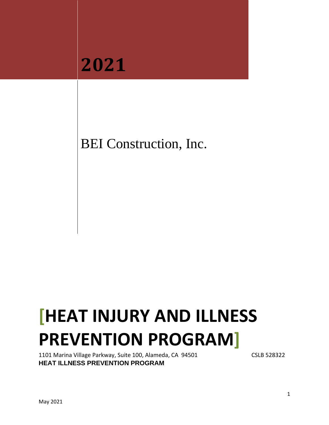

BEI Construction, Inc.

# **[HEAT INJURY AND ILLNESS PREVENTION PROGRAM]**

1101 Marina Village Parkway, Suite 100, Alameda, CA 94501 CSLB 528322 **HEAT ILLNESS PREVENTION PROGRAM**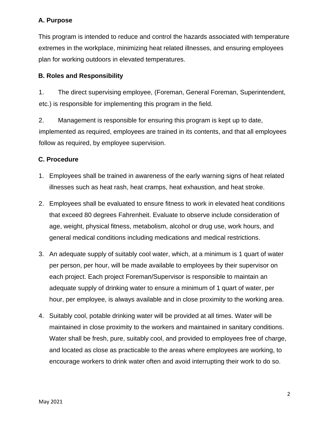# **A. Purpose**

This program is intended to reduce and control the hazards associated with temperature extremes in the workplace, minimizing heat related illnesses, and ensuring employees plan for working outdoors in elevated temperatures.

## **B. Roles and Responsibility**

1. The direct supervising employee, (Foreman, General Foreman, Superintendent, etc.) is responsible for implementing this program in the field.

2. Management is responsible for ensuring this program is kept up to date, implemented as required, employees are trained in its contents, and that all employees follow as required, by employee supervision.

### **C. Procedure**

- 1. Employees shall be trained in awareness of the early warning signs of heat related illnesses such as heat rash, heat cramps, heat exhaustion, and heat stroke.
- 2. Employees shall be evaluated to ensure fitness to work in elevated heat conditions that exceed 80 degrees Fahrenheit. Evaluate to observe include consideration of age, weight, physical fitness, metabolism, alcohol or drug use, work hours, and general medical conditions including medications and medical restrictions.
- 3. An adequate supply of suitably cool water, which, at a minimum is 1 quart of water per person, per hour, will be made available to employees by their supervisor on each project. Each project Foreman/Supervisor is responsible to maintain an adequate supply of drinking water to ensure a minimum of 1 quart of water, per hour, per employee, is always available and in close proximity to the working area.
- 4. Suitably cool, potable drinking water will be provided at all times. Water will be maintained in close proximity to the workers and maintained in sanitary conditions. Water shall be fresh, pure, suitably cool, and provided to employees free of charge, and located as close as practicable to the areas where employees are working, to encourage workers to drink water often and avoid interrupting their work to do so.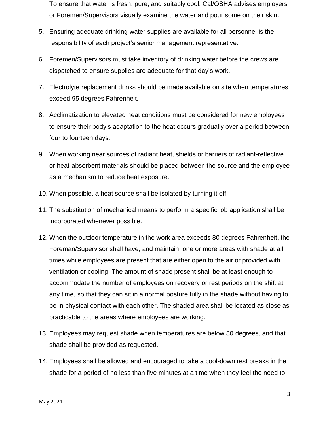To ensure that water is fresh, pure, and suitably cool, Cal/OSHA advises employers or Foremen/Supervisors visually examine the water and pour some on their skin.

- 5. Ensuring adequate drinking water supplies are available for all personnel is the responsibility of each project's senior management representative.
- 6. Foremen/Supervisors must take inventory of drinking water before the crews are dispatched to ensure supplies are adequate for that day's work.
- 7. Electrolyte replacement drinks should be made available on site when temperatures exceed 95 degrees Fahrenheit.
- 8. Acclimatization to elevated heat conditions must be considered for new employees to ensure their body's adaptation to the heat occurs gradually over a period between four to fourteen days.
- 9. When working near sources of radiant heat, shields or barriers of radiant-reflective or heat-absorbent materials should be placed between the source and the employee as a mechanism to reduce heat exposure.
- 10. When possible, a heat source shall be isolated by turning it off.
- 11. The substitution of mechanical means to perform a specific job application shall be incorporated whenever possible.
- 12. When the outdoor temperature in the work area exceeds 80 degrees Fahrenheit, the Foreman/Supervisor shall have, and maintain, one or more areas with shade at all times while employees are present that are either open to the air or provided with ventilation or cooling. The amount of shade present shall be at least enough to accommodate the number of employees on recovery or rest periods on the shift at any time, so that they can sit in a normal posture fully in the shade without having to be in physical contact with each other. The shaded area shall be located as close as practicable to the areas where employees are working.
- 13. Employees may request shade when temperatures are below 80 degrees, and that shade shall be provided as requested.
- 14. Employees shall be allowed and encouraged to take a cool-down rest breaks in the shade for a period of no less than five minutes at a time when they feel the need to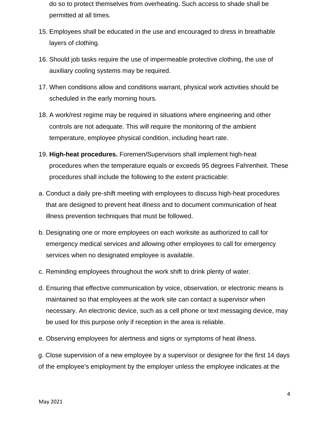do so to protect themselves from overheating. Such access to shade shall be permitted at all times.

- 15. Employees shall be educated in the use and encouraged to dress in breathable layers of clothing.
- 16. Should job tasks require the use of impermeable protective clothing, the use of auxiliary cooling systems may be required.
- 17. When conditions allow and conditions warrant, physical work activities should be scheduled in the early morning hours.
- 18. A work/rest regime may be required in situations where engineering and other controls are not adequate. This will require the monitoring of the ambient temperature, employee physical condition, including heart rate.
- 19. **High-heat procedures.** Foremen/Supervisors shall implement high-heat procedures when the temperature equals or exceeds 95 degrees Fahrenheit. These procedures shall include the following to the extent practicable:
- a. Conduct a daily pre-shift meeting with employees to discuss high-heat procedures that are designed to prevent heat illness and to document communication of heat illness prevention techniques that must be followed.
- b. Designating one or more employees on each worksite as authorized to call for emergency medical services and allowing other employees to call for emergency services when no designated employee is available.
- c. Reminding employees throughout the work shift to drink plenty of water.
- d. Ensuring that effective communication by voice, observation, or electronic means is maintained so that employees at the work site can contact a supervisor when necessary. An electronic device, such as a cell phone or text messaging device, may be used for this purpose only if reception in the area is reliable.
- e. Observing employees for alertness and signs or symptoms of heat illness.

g. Close supervision of a new employee by a supervisor or designee for the first 14 days of the employee's employment by the employer unless the employee indicates at the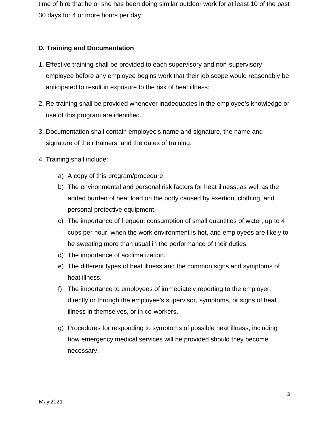time of hire that he or she has been doing similar outdoor work for at least 10 of the past 30 days for 4 or more hours per day.

## **D. Training and Documentation**

- 1. Effective training shall be provided to each supervisory and non-supervisory employee before any employee begins work that their job scope would reasonably be anticipated to result in exposure to the risk of heat illness:
- 2. Re-training shall be provided whenever inadequacies in the employee's knowledge or use of this program are identified.
- 3. Documentation shall contain employee's name and signature, the name and signature of their trainers, and the dates of training.
- 4. Training shall include:
	- a) A copy of this program/procedure.
	- b) The environmental and personal risk factors for heat illness, as well as the added burden of heat load on the body caused by exertion, clothing, and personal protective equipment.
	- c) The importance of frequent consumption of small quantities of water, up to 4 cups per hour, when the work environment is hot, and employees are likely to be sweating more than usual in the performance of their duties.
	- d) The importance of acclimatization.
	- e) The different types of heat illness and the common signs and symptoms of heat illness.
	- f) The importance to employees of immediately reporting to the employer, directly or through the employee's supervisor, symptoms, or signs of heat illness in themselves, or in co-workers.
	- g) Procedures for responding to symptoms of possible heat illness, including how emergency medical services will be provided should they become necessary.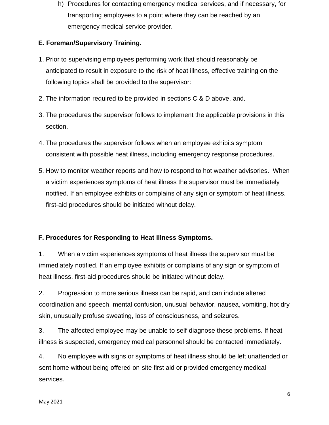h) Procedures for contacting emergency medical services, and if necessary, for transporting employees to a point where they can be reached by an emergency medical service provider.

# **E. Foreman/Supervisory Training.**

- 1. Prior to supervising employees performing work that should reasonably be anticipated to result in exposure to the risk of heat illness, effective training on the following topics shall be provided to the supervisor:
- 2. The information required to be provided in sections C & D above, and.
- 3. The procedures the supervisor follows to implement the applicable provisions in this section.
- 4. The procedures the supervisor follows when an employee exhibits symptom consistent with possible heat illness, including emergency response procedures.
- 5. How to monitor weather reports and how to respond to hot weather advisories. When a victim experiences symptoms of heat illness the supervisor must be immediately notified. If an employee exhibits or complains of any sign or symptom of heat illness, first-aid procedures should be initiated without delay.

# **F. Procedures for Responding to Heat Illness Symptoms.**

1. When a victim experiences symptoms of heat illness the supervisor must be immediately notified. If an employee exhibits or complains of any sign or symptom of heat illness, first-aid procedures should be initiated without delay.

2. Progression to more serious illness can be rapid, and can include altered coordination and speech, mental confusion, unusual behavior, nausea, vomiting, hot dry skin, unusually profuse sweating, loss of consciousness, and seizures.

3. The affected employee may be unable to self-diagnose these problems. If heat illness is suspected, emergency medical personnel should be contacted immediately.

4. No employee with signs or symptoms of heat illness should be left unattended or sent home without being offered on-site first aid or provided emergency medical services.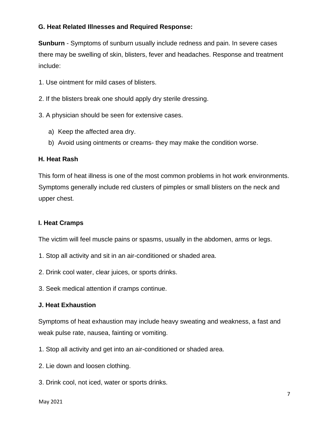## **G. Heat Related Illnesses and Required Response:**

**Sunburn** - Symptoms of sunburn usually include redness and pain. In severe cases there may be swelling of skin, blisters, fever and headaches. Response and treatment include:

- 1. Use ointment for mild cases of blisters.
- 2. If the blisters break one should apply dry sterile dressing.
- 3. A physician should be seen for extensive cases.
	- a) Keep the affected area dry.
	- b) Avoid using ointments or creams- they may make the condition worse.

#### **H. Heat Rash**

This form of heat illness is one of the most common problems in hot work environments. Symptoms generally include red clusters of pimples or small blisters on the neck and upper chest.

#### **I. Heat Cramps**

The victim will feel muscle pains or spasms, usually in the abdomen, arms or legs.

- 1. Stop all activity and sit in an air-conditioned or shaded area.
- 2. Drink cool water, clear juices, or sports drinks.
- 3. Seek medical attention if cramps continue.

#### **J. Heat Exhaustion**

Symptoms of heat exhaustion may include heavy sweating and weakness, a fast and weak pulse rate, nausea, fainting or vomiting.

- 1. Stop all activity and get into an air-conditioned or shaded area.
- 2. Lie down and loosen clothing.
- 3. Drink cool, not iced, water or sports drinks.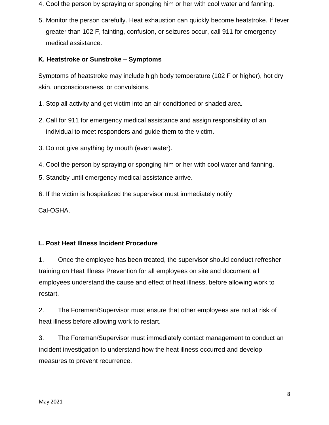- 4. Cool the person by spraying or sponging him or her with cool water and fanning.
- 5. Monitor the person carefully. Heat exhaustion can quickly become heatstroke. If fever greater than 102 F, fainting, confusion, or seizures occur, call 911 for emergency medical assistance.

## **K. Heatstroke or Sunstroke – Symptoms**

Symptoms of heatstroke may include high body temperature (102 F or higher), hot dry skin, unconsciousness, or convulsions.

- 1. Stop all activity and get victim into an air-conditioned or shaded area.
- 2. Call for 911 for emergency medical assistance and assign responsibility of an individual to meet responders and guide them to the victim.
- 3. Do not give anything by mouth (even water).
- 4. Cool the person by spraying or sponging him or her with cool water and fanning.
- 5. Standby until emergency medical assistance arrive.
- 6. If the victim is hospitalized the supervisor must immediately notify

Cal-OSHA.

## **L. Post Heat Illness Incident Procedure**

1. Once the employee has been treated, the supervisor should conduct refresher training on Heat Illness Prevention for all employees on site and document all employees understand the cause and effect of heat illness, before allowing work to restart.

2. The Foreman/Supervisor must ensure that other employees are not at risk of heat illness before allowing work to restart.

3. The Foreman/Supervisor must immediately contact management to conduct an incident investigation to understand how the heat illness occurred and develop measures to prevent recurrence.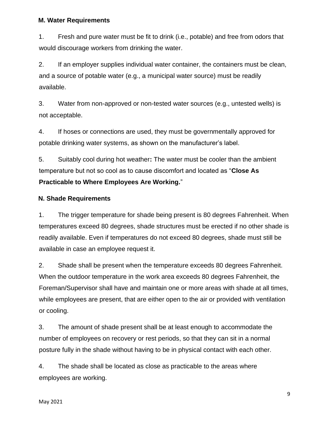#### **M. Water Requirements**

1. Fresh and pure water must be fit to drink (i.e., potable) and free from odors that would discourage workers from drinking the water.

2. If an employer supplies individual water container, the containers must be clean, and a source of potable water (e.g., a municipal water source) must be readily available.

3. Water from non-approved or non-tested water sources (e.g., untested wells) is not acceptable.

4. If hoses or connections are used, they must be governmentally approved for potable drinking water systems, as shown on the manufacturer's label.

5. Suitably cool during hot weather**:** The water must be cooler than the ambient temperature but not so cool as to cause discomfort and located as "**Close As Practicable to Where Employees Are Working.**"

#### **N. Shade Requirements**

1. The trigger temperature for shade being present is 80 degrees Fahrenheit. When temperatures exceed 80 degrees, shade structures must be erected if no other shade is readily available. Even if temperatures do not exceed 80 degrees, shade must still be available in case an employee request it.

2. Shade shall be present when the temperature exceeds 80 degrees Fahrenheit. When the outdoor temperature in the work area exceeds 80 degrees Fahrenheit, the Foreman/Supervisor shall have and maintain one or more areas with shade at all times, while employees are present, that are either open to the air or provided with ventilation or cooling.

3. The amount of shade present shall be at least enough to accommodate the number of employees on recovery or rest periods, so that they can sit in a normal posture fully in the shade without having to be in physical contact with each other.

4. The shade shall be located as close as practicable to the areas where employees are working.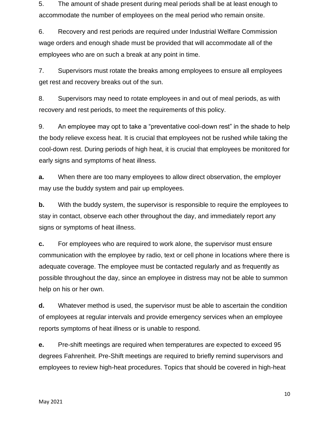5. The amount of shade present during meal periods shall be at least enough to accommodate the number of employees on the meal period who remain onsite.

6. Recovery and rest periods are required under Industrial Welfare Commission wage orders and enough shade must be provided that will accommodate all of the employees who are on such a break at any point in time.

7. Supervisors must rotate the breaks among employees to ensure all employees get rest and recovery breaks out of the sun.

8. Supervisors may need to rotate employees in and out of meal periods, as with recovery and rest periods, to meet the requirements of this policy.

9. An employee may opt to take a "preventative cool-down rest" in the shade to help the body relieve excess heat. It is crucial that employees not be rushed while taking the cool-down rest. During periods of high heat, it is crucial that employees be monitored for early signs and symptoms of heat illness.

**a.** When there are too many employees to allow direct observation, the employer may use the buddy system and pair up employees.

**b.** With the buddy system, the supervisor is responsible to require the employees to stay in contact, observe each other throughout the day, and immediately report any signs or symptoms of heat illness.

**c.** For employees who are required to work alone, the supervisor must ensure communication with the employee by radio, text or cell phone in locations where there is adequate coverage. The employee must be contacted regularly and as frequently as possible throughout the day, since an employee in distress may not be able to summon help on his or her own.

**d.** Whatever method is used, the supervisor must be able to ascertain the condition of employees at regular intervals and provide emergency services when an employee reports symptoms of heat illness or is unable to respond.

**e.** Pre-shift meetings are required when temperatures are expected to exceed 95 degrees Fahrenheit. Pre-Shift meetings are required to briefly remind supervisors and employees to review high-heat procedures. Topics that should be covered in high-heat

10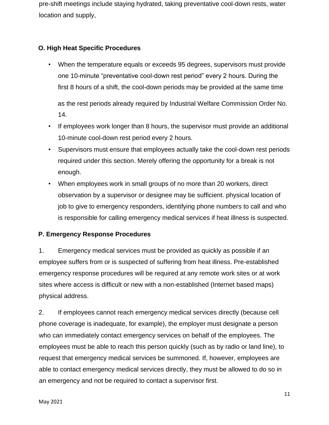pre-shift meetings include staying hydrated, taking preventative cool-down rests, water location and supply,

## **O. High Heat Specific Procedures**

• When the temperature equals or exceeds 95 degrees, supervisors must provide one 10-minute "preventative cool-down rest period" every 2 hours. During the first 8 hours of a shift, the cool-down periods may be provided at the same time

as the rest periods already required by Industrial Welfare Commission Order No. 14.

- If employees work longer than 8 hours, the supervisor must provide an additional 10-minute cool-down rest period every 2 hours.
- Supervisors must ensure that employees actually take the cool-down rest periods required under this section. Merely offering the opportunity for a break is not enough.
- When employees work in small groups of no more than 20 workers, direct observation by a supervisor or designee may be sufficient. physical location of job to give to emergency responders, identifying phone numbers to call and who is responsible for calling emergency medical services if heat illness is suspected.

## **P. Emergency Response Procedures**

1. Emergency medical services must be provided as quickly as possible if an employee suffers from or is suspected of suffering from heat illness. Pre-established emergency response procedures will be required at any remote work sites or at work sites where access is difficult or new with a non-established (Internet based maps) physical address.

2. If employees cannot reach emergency medical services directly (because cell phone coverage is inadequate, for example), the employer must designate a person who can immediately contact emergency services on behalf of the employees. The employees must be able to reach this person quickly (such as by radio or land line), to request that emergency medical services be summoned. If, however, employees are able to contact emergency medical services directly, they must be allowed to do so in an emergency and not be required to contact a supervisor first.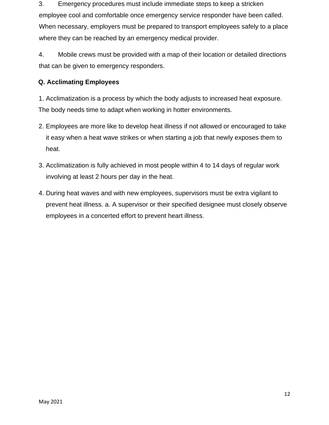3. Emergency procedures must include immediate steps to keep a stricken employee cool and comfortable once emergency service responder have been called. When necessary, employers must be prepared to transport employees safely to a place where they can be reached by an emergency medical provider.

4. Mobile crews must be provided with a map of their location or detailed directions that can be given to emergency responders.

# **Q. Acclimating Employees**

1. Acclimatization is a process by which the body adjusts to increased heat exposure. The body needs time to adapt when working in hotter environments.

- 2. Employees are more like to develop heat illness if not allowed or encouraged to take it easy when a heat wave strikes or when starting a job that newly exposes them to heat.
- 3. Acclimatization is fully achieved in most people within 4 to 14 days of regular work involving at least 2 hours per day in the heat.
- 4. During heat waves and with new employees, supervisors must be extra vigilant to prevent heat illness. a. A supervisor or their specified designee must closely observe employees in a concerted effort to prevent heart illness.